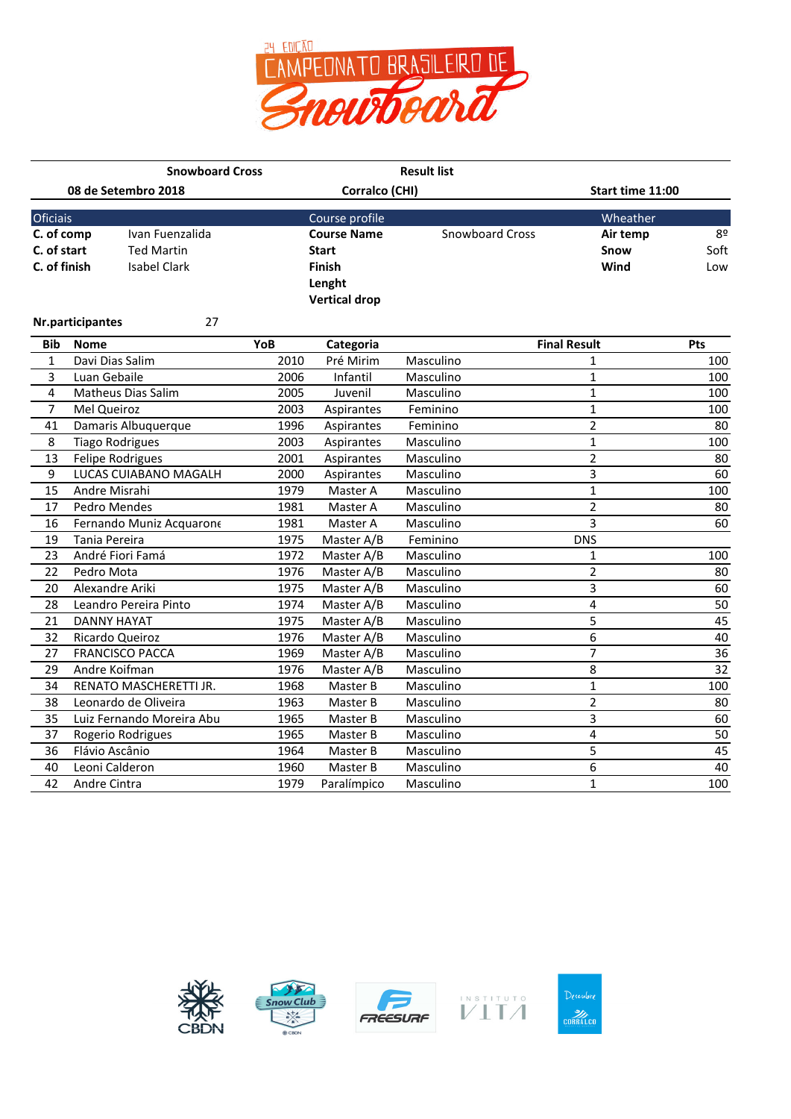

|                           |                  | <b>Snowboard Cross</b>                           |              |                                    | <b>Result list</b>     |                                |                 |  |
|---------------------------|------------------|--------------------------------------------------|--------------|------------------------------------|------------------------|--------------------------------|-----------------|--|
|                           |                  | 08 de Setembro 2018                              |              | Corralco (CHI)                     |                        | Start time 11:00               |                 |  |
| Oficiais                  |                  |                                                  |              | Course profile                     |                        | Wheather                       |                 |  |
| C. of comp<br>C. of start |                  | Ivan Fuenzalida<br><b>Ted Martin</b>             |              | <b>Course Name</b><br><b>Start</b> | <b>Snowboard Cross</b> | Air temp<br>Snow               | 8º<br>Soft      |  |
| C. of finish              |                  | <b>Isabel Clark</b>                              |              | Finish                             |                        | Wind                           | Low             |  |
|                           |                  |                                                  |              | Lenght<br><b>Vertical drop</b>     |                        |                                |                 |  |
|                           |                  |                                                  |              |                                    |                        |                                |                 |  |
|                           | Nr.participantes | 27                                               |              |                                    |                        |                                |                 |  |
| <b>Bib</b>                | <b>Nome</b>      |                                                  | YoB          | Categoria                          |                        | <b>Final Result</b>            | Pts             |  |
| $\mathbf{1}$              |                  | Davi Dias Salim                                  | 2010         | Pré Mirim                          | Masculino              | 1                              | 100             |  |
| 3                         | Luan Gebaile     |                                                  | 2006         | Infantil                           | Masculino              | $\mathbf{1}$                   | 100             |  |
| 4                         |                  | Matheus Dias Salim                               | 2005         | Juvenil                            | Masculino              | $\mathbf{1}$                   | 100             |  |
| $\overline{7}$            | Mel Queiroz      |                                                  | 2003<br>1996 | Aspirantes                         | Feminino               | $\mathbf{1}$                   | 100<br>80       |  |
| 41                        |                  | Damaris Albuquerque                              |              | Aspirantes                         | Feminino               | $\overline{2}$                 |                 |  |
| 8<br>13                   |                  | <b>Tiago Rodrigues</b>                           | 2003<br>2001 | Aspirantes                         | Masculino              | $\mathbf{1}$<br>$\overline{2}$ | 100<br>80       |  |
| 9                         |                  | <b>Felipe Rodrigues</b><br>LUCAS CUIABANO MAGALH | 2000         | Aspirantes                         | Masculino              | 3                              | 60              |  |
| 15                        |                  | Andre Misrahi                                    | 1979         | Aspirantes<br>Master A             | Masculino<br>Masculino | $\mathbf{1}$                   | 100             |  |
| 17                        |                  | Pedro Mendes                                     | 1981         | Master A                           | Masculino              | $\overline{2}$                 | 80              |  |
| 16                        |                  | Fernando Muniz Acquarone                         | 1981         | Master A                           | Masculino              | $\overline{3}$                 | 60              |  |
| 19                        | Tania Pereira    |                                                  | 1975         | Master A/B                         | Feminino               | <b>DNS</b>                     |                 |  |
| 23                        |                  | André Fiori Famá                                 | 1972         | Master A/B                         | Masculino              | 1                              | 100             |  |
| 22                        | Pedro Mota       |                                                  | 1976         | Master A/B                         | Masculino              | $\overline{2}$                 | 80              |  |
| 20                        |                  | Alexandre Ariki                                  | 1975         | Master A/B                         | Masculino              | 3                              | 60              |  |
| 28                        |                  | Leandro Pereira Pinto                            | 1974         | Master A/B                         | Masculino              | 4                              | 50              |  |
| 21                        |                  | <b>DANNY HAYAT</b>                               | 1975         | Master A/B                         | Masculino              | 5                              | 45              |  |
| 32                        |                  | Ricardo Queiroz                                  | 1976         | Master A/B                         | Masculino              | 6                              | 40              |  |
| 27                        |                  | <b>FRANCISCO PACCA</b>                           | 1969         | Master A/B                         | Masculino              | 7                              | $\overline{36}$ |  |
| 29                        |                  | Andre Koifman                                    | 1976         | Master A/B                         | Masculino              | 8                              | $\overline{32}$ |  |
| 34                        |                  | RENATO MASCHERETTI JR.                           | 1968         | Master B                           | Masculino              | $\mathbf{1}$                   | 100             |  |
| 38                        |                  | Leonardo de Oliveira                             | 1963         | Master B                           | Masculino              | $\overline{2}$                 | 80              |  |
| 35                        |                  | Luiz Fernando Moreira Abu                        | 1965         | Master B                           | Masculino              | 3                              | 60              |  |
| 37                        |                  | Rogerio Rodrigues                                | 1965         | Master B                           | Masculino              | 4                              | 50              |  |
| 36                        |                  | Flávio Ascânio                                   | 1964         | Master B                           | Masculino              | 5                              | 45              |  |
| 40                        |                  | Leoni Calderon                                   | 1960         | Master B                           | Masculino              | 6                              | 40              |  |
| 42                        | Andre Cintra     |                                                  | 1979         | Paralímpico                        | Masculino              | 1                              | 100             |  |









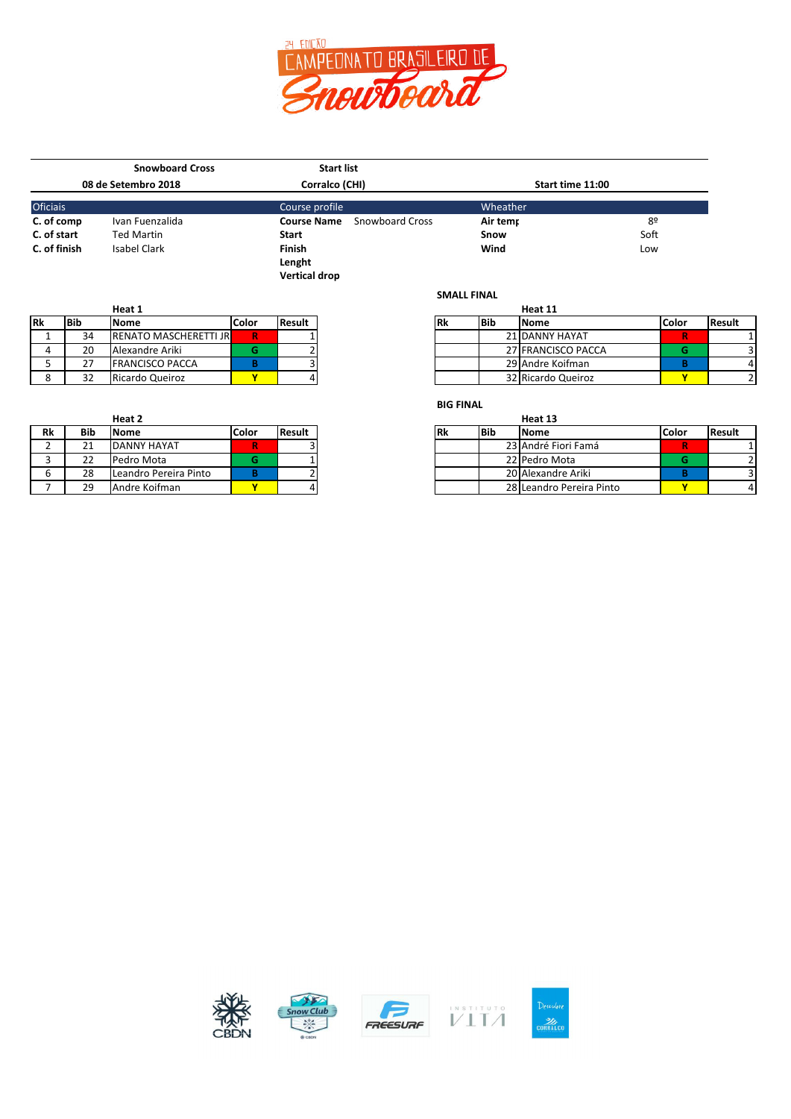

|                     | <b>Snowboard Cross</b> | <b>Start list</b>                            |                  |      |  |
|---------------------|------------------------|----------------------------------------------|------------------|------|--|
| 08 de Setembro 2018 |                        | Corralco (CHI)                               | Start time 11:00 |      |  |
| <b>Oficiais</b>     |                        | Course profile                               | Wheather         |      |  |
| C. of comp          | Ivan Fuenzalida        | <b>Snowboard Cross</b><br><b>Course Name</b> | Air temr         | 8º   |  |
| C. of start         | <b>Ted Martin</b>      | <b>Start</b>                                 | Snow             | Soft |  |
| C. of finish        | Isabel Clark           | <b>Finish</b>                                | Wind             | Low  |  |
|                     |                        | Lenght                                       |                  |      |  |
|                     |                        | <b>Vertical drop</b>                         |                  |      |  |

|           |            | Heat 1                        |       |               |           |       | Heat 11     |
|-----------|------------|-------------------------------|-------|---------------|-----------|-------|-------------|
| <b>Rk</b> | <b>Bib</b> | Nome                          | Color | <b>Result</b> | <b>Rk</b> | l Bib | <b>Nome</b> |
|           | 34         | <b>IRENATO MASCHERETTI JR</b> | R     |               |           |       | 21 DANNY    |
|           | 20         | Alexandre Ariki               |       |               |           |       | 27 FRANCI:  |
|           | 27         | <b>FRANCISCO PACCA</b>        |       |               |           |       | 29 Andre K  |
|           | 32         | Ricardo Queiroz               |       |               |           |       | 32 Ricardo  |

|    |     | Heat 2                |              |               |  |           |       | Heat 13     |
|----|-----|-----------------------|--------------|---------------|--|-----------|-------|-------------|
| Rk | Bib | Nome                  | <b>Color</b> | <b>Result</b> |  | <b>Rk</b> | l Bib | <b>Nome</b> |
|    |     | DANNY HAYAT           | R            |               |  |           |       | 23 André F  |
|    | 22  | Pedro Mota            |              |               |  |           |       | 22 Pedro N  |
| 6  | 28  | Leandro Pereira Pinto |              |               |  |           |       | 20 Alexand  |
|    | 29  | Andre Koifman         |              | 4             |  |           |       | 28 Leandro  |

|    |             | Heat 1                         |       |          |     |             | Heat 11            |              |               |
|----|-------------|--------------------------------|-------|----------|-----|-------------|--------------------|--------------|---------------|
| Rk | <b>IBib</b> | <b>Nome</b>                    | Color | l Result | IRk | <b>IBib</b> | <b>Nome</b>        | <b>Color</b> | <b>Result</b> |
|    | 34          | <b>IRENATO MASCHERETTI JRI</b> | R     |          |     |             | 21 DANNY HAYAT     |              |               |
|    | 20          | Alexandre Ariki                |       |          |     |             | 27 FRANCISCO PACCA |              |               |
|    |             | <b>FRANCISCO PACCA</b>         |       |          |     |             | 29 Andre Koifman   |              |               |
|    |             | Ricardo Queiroz                |       |          |     |             | 32 Ricardo Queiroz |              |               |

## **BIG FINAL**

**SMALL FINAL**

|            | Heat 2                |       |        |            |       | Heat 13                  |       |  |
|------------|-----------------------|-------|--------|------------|-------|--------------------------|-------|--|
| <b>Bib</b> | <b>Nome</b>           | Color | Result | <b>IRK</b> | l Bib | <b>Nome</b>              | Color |  |
| ∠⊥         | DANNY HAYAT           |       |        |            |       | 23 André Fiori Famá      |       |  |
| າາ<br>∠∠   | Pedro Mota            |       |        |            |       | 22 Pedro Mota            |       |  |
| 28         | Leandro Pereira Pinto |       |        |            |       | 20 Alexandre Ariki       |       |  |
| 29         | Andre Koifman         |       |        |            |       | 28 Leandro Pereira Pinto |       |  |







```
\begin{array}{c} \textbf{L} \textbf{N} \textbf{S} \textbf{T} \textbf{L} \textbf{T} \textbf{U} \textbf{T} \textbf{O} \\ \textbf{V} \textbf{I} \textbf{T} \textbf{A} \end{array}
```
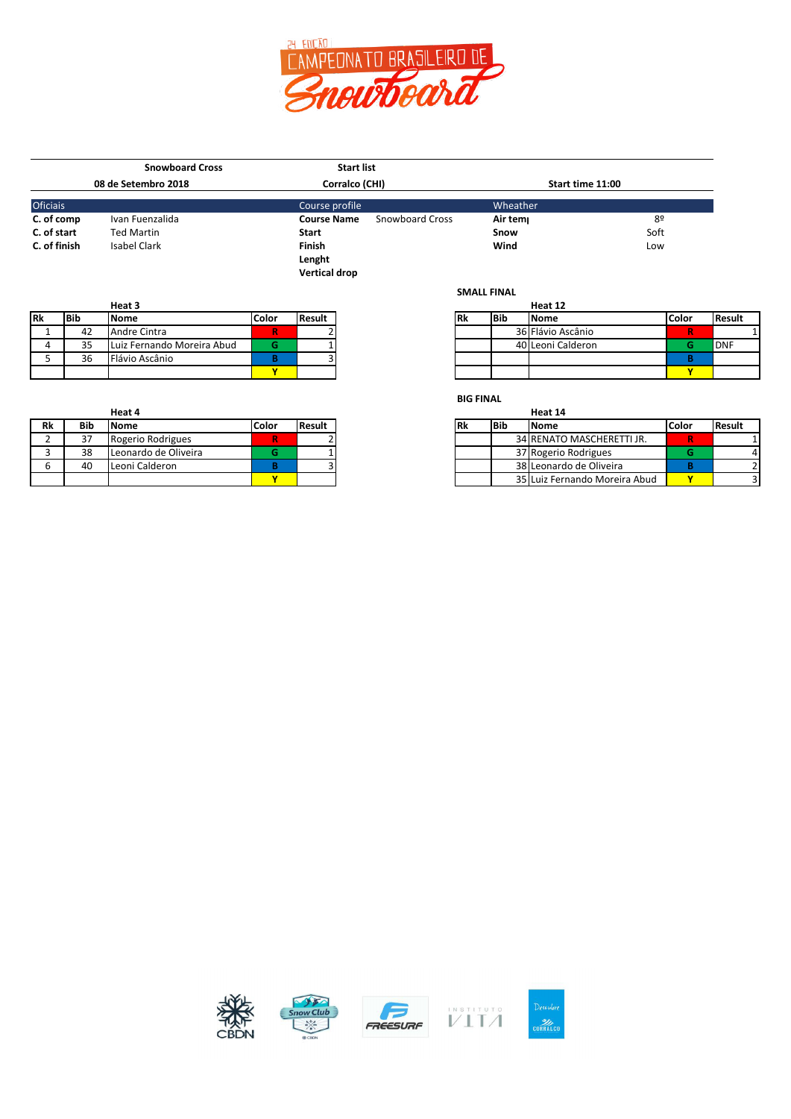

|              | <b>Snowboard Cross</b> | <b>Start list</b>    |                        |                  |      |  |
|--------------|------------------------|----------------------|------------------------|------------------|------|--|
|              | 08 de Setembro 2018    | Corralco (CHI)       |                        | Start time 11:00 |      |  |
| Oficiais     |                        | Course profile       |                        | Wheather         |      |  |
| C. of comp   | Ivan Fuenzalida        | <b>Course Name</b>   | <b>Snowboard Cross</b> | Air tem          | 8º   |  |
| C. of start  | <b>Ted Martin</b>      | Start                |                        | Snow             | Soft |  |
| C. of finish | Isabel Clark           | <b>Finish</b>        |                        | Wind             | Low  |  |
|              |                        | Lenght               |                        |                  |      |  |
|              |                        | <b>Vertical drop</b> |                        |                  |      |  |
|              |                        |                      |                        | CRAALL CINIAL    |      |  |

| Heat 3    |            |                            |              |                |  |
|-----------|------------|----------------------------|--------------|----------------|--|
| <b>Rk</b> | <b>Bib</b> | <b>Nome</b>                | <b>Color</b> | <b>IResult</b> |  |
|           | 42         | Andre Cintra               |              |                |  |
|           | っこ<br>ر ر  | Luiz Fernando Moreira Abud |              |                |  |
|           | 36         | Flávio Ascânio             |              |                |  |
|           |            |                            |              |                |  |

|            | Heat 4               |       |        |
|------------|----------------------|-------|--------|
| <b>Bib</b> | <b>INome</b>         | Color | Result |
| ر ر        | Rogerio Rodrigues    |       |        |
| 38         | Leonardo de Oliveira |       |        |
| 40         | Leoni Calderon       |       |        |
|            |                      |       |        |

**SMALL FINAL**

| Heat 3 |            |                            |        |        |            |  | Heat 12     |                   |              |            |
|--------|------------|----------------------------|--------|--------|------------|--|-------------|-------------------|--------------|------------|
|        | <b>Bib</b> | <b>Nome</b>                | .Color | Result | <b>IRk</b> |  | <b>IBib</b> | <b>Nome</b>       | <b>Color</b> | l Result   |
|        | 42         | Andre Cintra               | R      |        |            |  |             | 36 Flávio Ascânio | R            |            |
|        | 35         | Luiz Fernando Moreira Abud |        |        |            |  |             | 40 Leoni Calderon |              | <b>DNF</b> |
|        | 36         | Flávio Ascânio             |        |        |            |  |             |                   |              |            |
|        |            |                            |        |        |            |  |             |                   | 5.4          |            |

**BIG FINAL**

|    |            | неат 4               |       |        |     |             | неат 14                       |              |               |
|----|------------|----------------------|-------|--------|-----|-------------|-------------------------------|--------------|---------------|
| ₹k | <b>Bib</b> | lNome.               | Color | Result | 'Rk | <b>IBib</b> | <b>Nome</b>                   | <b>Color</b> | <b>Result</b> |
|    | 37         | Rogerio Rodrigues    | R.    |        |     |             | 34 RENATO MASCHERETTI JR.     |              |               |
|    | 38         | Leonardo de Oliveira |       |        |     |             | 37 Rogerio Rodrigues          |              |               |
|    | 40         | Leoni Calderon       |       |        |     |             | 38 Leonardo de Oliveira       |              |               |
|    |            |                      |       |        |     |             | 35 Luiz Fernando Moreira Abud |              |               |







```
\begin{picture}(22,17)(-10,0) \put(0,0){\line(1,0){15}} \put(15,0){\line(1,0){15}} \put(15,0){\line(1,0){15}} \put(15,0){\line(1,0){15}} \put(15,0){\line(1,0){15}} \put(15,0){\line(1,0){15}} \put(15,0){\line(1,0){15}} \put(15,0){\line(1,0){15}} \put(15,0){\line(1,0){15}} \put(15,0){\line(1,0){15}} \put(15,0){\line(1,0){15}} \put(15,
```
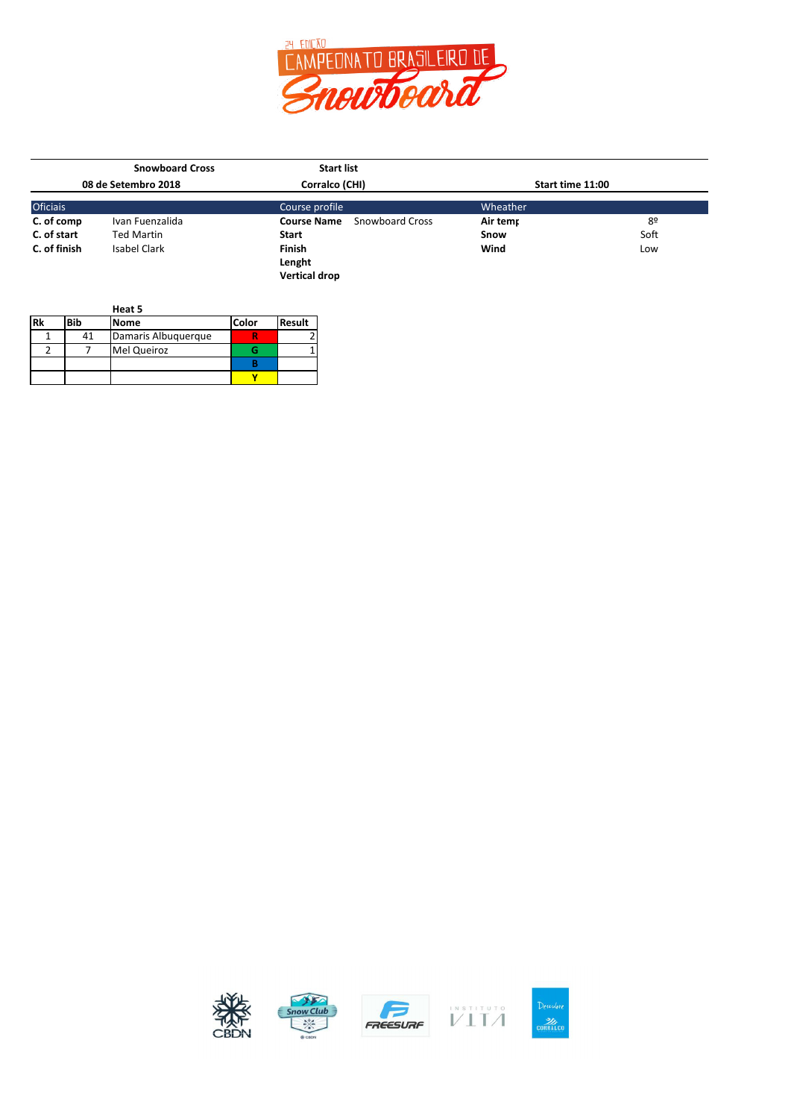

|                     | <b>Snowboard Cross</b> | <b>Start list</b>                     |                  |      |  |  |  |
|---------------------|------------------------|---------------------------------------|------------------|------|--|--|--|
| 08 de Setembro 2018 |                        | Corralco (CHI)                        | Start time 11:00 |      |  |  |  |
| <b>Oficiais</b>     |                        | Course profile                        | Wheather         |      |  |  |  |
| C. of comp          | Ivan Fuenzalida        | <b>Course Name</b><br>Snowboard Cross | Air temr         | 8º   |  |  |  |
| C. of start         | <b>Ted Martin</b>      | <b>Start</b>                          | Snow             | Soft |  |  |  |
| C. of finish        | Isabel Clark           | Finish                                | Wind             | Low  |  |  |  |
|                     |                        | Lenght                                |                  |      |  |  |  |
|                     |                        | <b>Vertical drop</b>                  |                  |      |  |  |  |

|    |     | Heat 5              |              |               |
|----|-----|---------------------|--------------|---------------|
| Rk | Bib | <b>Nome</b>         | <b>Color</b> | <b>Result</b> |
|    | 41  | Damaris Albuguergue |              |               |
|    |     | <b>Mel Queiroz</b>  |              |               |
|    |     |                     |              |               |
|    |     |                     |              |               |









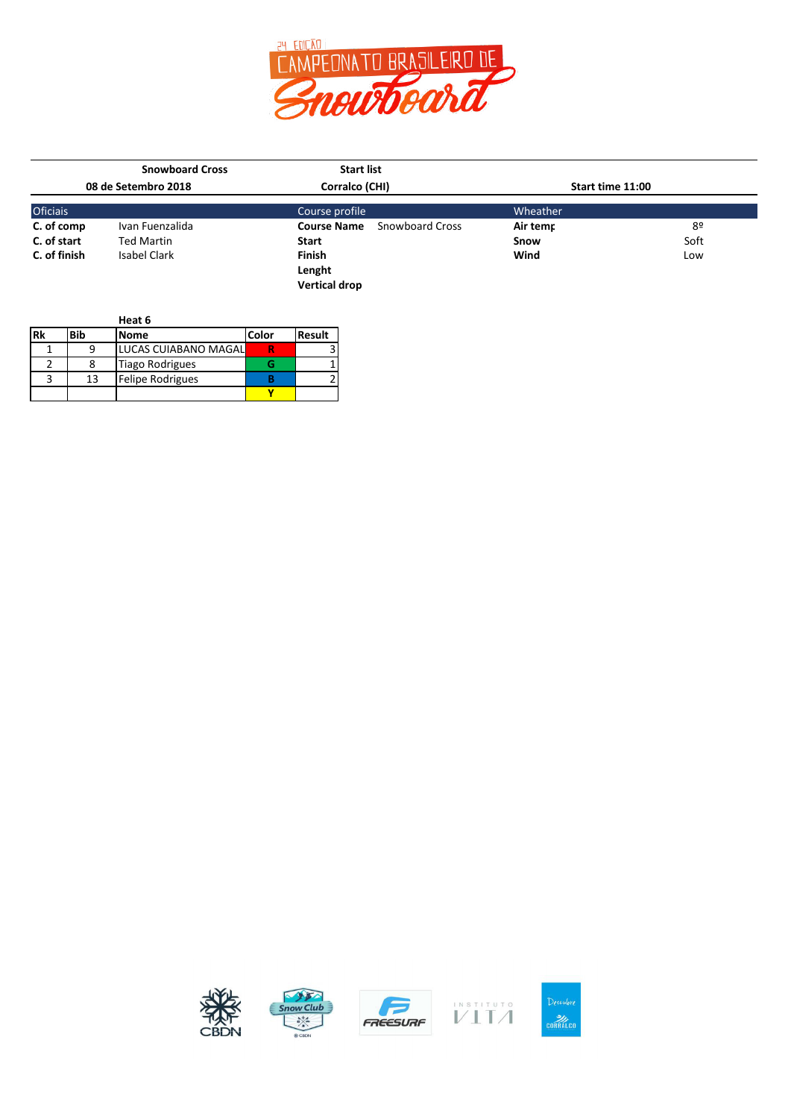

|                 | <b>Snowboard Cross</b> | <b>Start list</b>                            |                  |      |
|-----------------|------------------------|----------------------------------------------|------------------|------|
|                 | 08 de Setembro 2018    | Corralco (CHI)                               | Start time 11:00 |      |
| <b>Oficiais</b> |                        | Course profile                               | Wheather         |      |
| C. of comp      | Ivan Fuenzalida        | <b>Course Name</b><br><b>Snowboard Cross</b> | Air temr         | 8º   |
| C. of start     | <b>Ted Martin</b>      | <b>Start</b>                                 | Snow             | Soft |
| C. of finish    | Isabel Clark           | <b>Finish</b>                                | Wind             | Low  |
|                 |                        | Lenght                                       |                  |      |
|                 |                        | <b>Vertical drop</b>                         |                  |      |

|            |     | Heat 6                  |       |               |
|------------|-----|-------------------------|-------|---------------|
| <b>IRk</b> | Bib | <b>Nome</b>             | Color | <b>Result</b> |
|            |     | LUCAS CUIABANO MAGAL    |       |               |
|            |     | <b>Tiago Rodrigues</b>  |       |               |
|            | 13  | <b>Felipe Rodrigues</b> |       |               |
|            |     |                         |       |               |











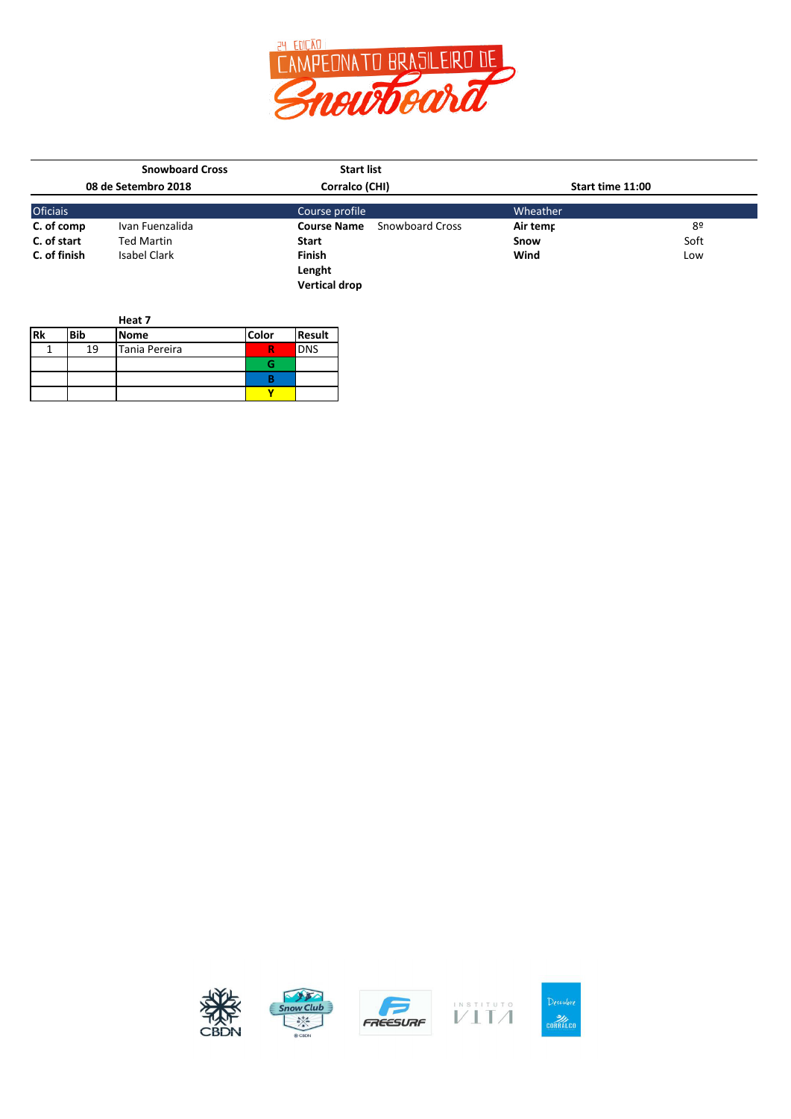

|                 | <b>Snowboard Cross</b> | <b>Start list</b>                     |                  |      |
|-----------------|------------------------|---------------------------------------|------------------|------|
|                 | 08 de Setembro 2018    | Corralco (CHI)                        | Start time 11:00 |      |
| <b>Oficiais</b> |                        | Course profile                        | Wheather         |      |
| C. of comp      | Ivan Fuenzalida        | Snowboard Cross<br><b>Course Name</b> | Air temr         | 8º   |
| C. of start     | <b>Ted Martin</b>      | <b>Start</b>                          | Snow             | Soft |
| C. of finish    | <b>Isabel Clark</b>    | <b>Finish</b>                         | Wind             | Low  |
|                 |                        | Lenght                                |                  |      |
|                 |                        | <b>Vertical drop</b>                  |                  |      |

|           |            | Heat 7        |       |               |
|-----------|------------|---------------|-------|---------------|
| <b>Rk</b> | <b>Bib</b> | <b>Nome</b>   | Color | <b>Result</b> |
|           | 19         | Tania Pereira |       | <b>DNS</b>    |
|           |            |               |       |               |
|           |            |               |       |               |
|           |            |               |       |               |









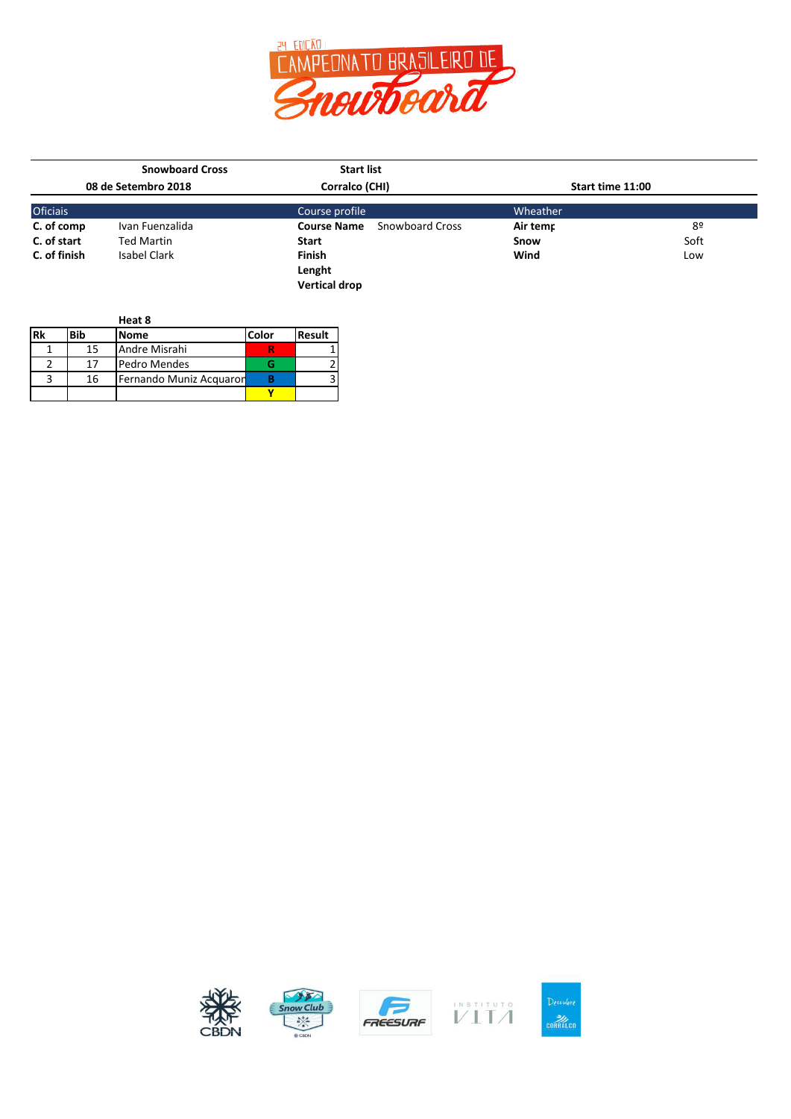

|                 | <b>Snowboard Cross</b> | <b>Start list</b>    |                        |                  |      |
|-----------------|------------------------|----------------------|------------------------|------------------|------|
|                 | 08 de Setembro 2018    | Corralco (CHI)       |                        | Start time 11:00 |      |
| <b>Oficiais</b> |                        | Course profile       |                        | Wheather         |      |
| C. of comp      | Ivan Fuenzalida        | <b>Course Name</b>   | <b>Snowboard Cross</b> | Air temr         | 8º   |
| C. of start     | <b>Ted Martin</b>      | <b>Start</b>         |                        | Snow             | Soft |
| C. of finish    | Isabel Clark           | <b>Finish</b>        |                        | Wind             | Low  |
|                 |                        | Lenght               |                        |                  |      |
|                 |                        | <b>Vertical drop</b> |                        |                  |      |

|            |     | Heat 8                  |       |               |
|------------|-----|-------------------------|-------|---------------|
| <b>IRk</b> | Bib | <b>Nome</b>             | Color | <b>Result</b> |
|            | 15  | Andre Misrahi           |       |               |
|            | 17  | Pedro Mendes            |       |               |
|            | 16  | Fernando Muniz Acquaron |       |               |
|            |     |                         |       |               |